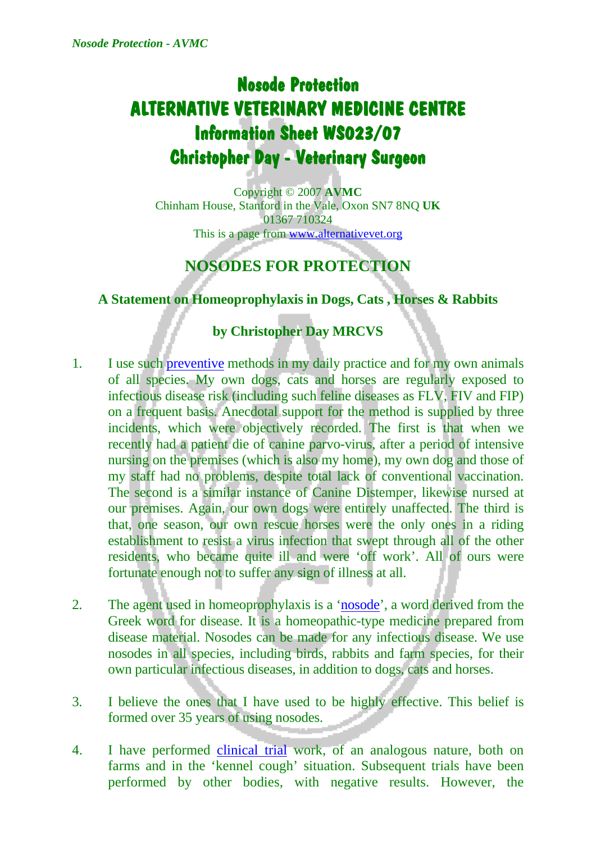## **Nosode Protection ALTERNATIVE VETERINARY MEDICINE CENTRE Information Sheet WS023/07 Christopher Day - Veterinary Surgeon**

Copyright © 2007 **AVMC** Chinham House, Stanford in the Vale, Oxon SN7 8NQ **UK** 01367 710324 This is a page from [www.alternativevet.org](http://www.alternativevet.org/)

## **NOSODES FOR PROTECTION**

**A Statement on Homeoprophylaxis in Dogs, Cats , Horses & Rabbits** 

## **by Christopher Day MRCVS**

- 1. I use such [preventive](http://www.alternativevet.org/preventive.htm) methods in my daily practice and for my own animals of all species. My own dogs, cats and horses are regularly exposed to infectious disease risk (including such feline diseases as FLV, FIV and FIP) on a frequent basis. Anecdotal support for the method is supplied by three incidents, which were objectively recorded. The first is that when we recently had a patient die of canine parvo-virus, after a period of intensive nursing on the premises (which is also my home), my own dog and those of my staff had no problems, despite total lack of conventional vaccination. The second is a similar instance of Canine Distemper, likewise nursed at our premises. Again, our own dogs were entirely unaffected. The third is that, one season, our own rescue horses were the only ones in a riding establishment to resist a virus infection that swept through all of the other residents, who became quite ill and were 'off work'. All of ours were fortunate enough not to suffer any sign of illness at all.
- 2. The agent used in homeoprophylaxis is a '[nosode](http://www.alternativevet.org/nosodes.htm)', a word derived from the Greek word for disease. It is a homeopathic-type medicine prepared from disease material. Nosodes can be made for any infectious disease. We use nosodes in all species, including birds, rabbits and farm species, for their own particular infectious diseases, in addition to dogs, cats and horses.
- 3. I believe the ones that I have used to be highly effective. This belief is formed over 35 years of using nosodes.
- 4. I have performed [clinical trial](http://www.alternativevet.org/research.htm) work, of an analogous nature, both on farms and in the 'kennel cough' situation. Subsequent trials have been performed by other bodies, with negative results. However, the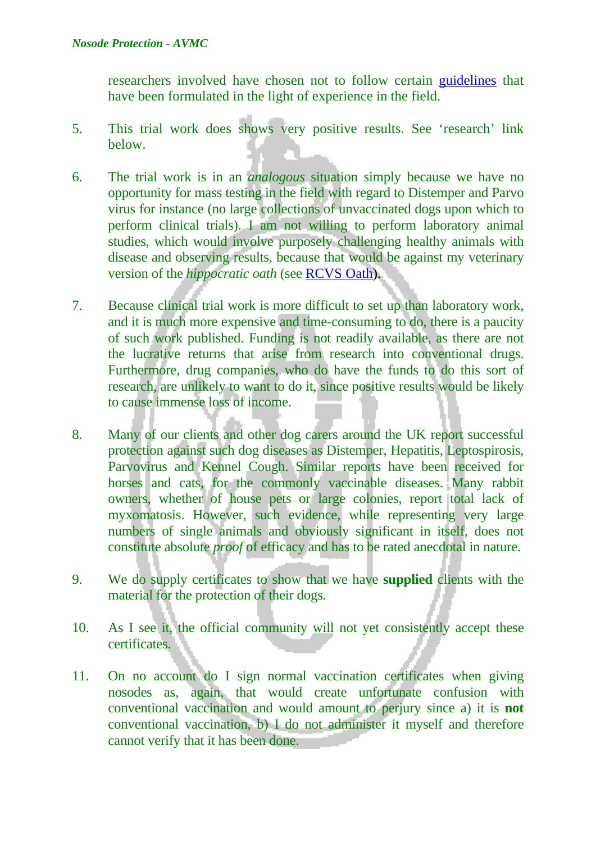researchers involved have chosen not to follow certain [guidelines](http://www.alternativevet.org/Research%20Discussion%20Paper%20WS012-07.pdf) that have been formulated in the light of experience in the field.

- 5. This trial work does shows very positive results. See 'research' link below.
- 6. The trial work is in an *analogous* situation simply because we have no opportunity for mass testing in the field with regard to Distemper and Parvo virus for instance (no large collections of unvaccinated dogs upon which to perform clinical trials). I am not willing to perform laboratory animal studies, which would involve purposely challenging healthy animals with disease and observing results, because that would be against my veterinary version of the *hippocratic oath* (see [RCVS Oath\)](http://www.alternativevet.org/rcvs_oath.htm).
- 7. Because clinical trial work is more difficult to set up than laboratory work, and it is much more expensive and time-consuming to do, there is a paucity of such work published. Funding is not readily available, as there are not the lucrative returns that arise from research into conventional drugs. Furthermore, drug companies, who do have the funds to do this sort of research, are unlikely to want to do it, since positive results would be likely to cause immense loss of income.
- 8. Many of our clients and other dog carers around the UK report successful protection against such dog diseases as Distemper, Hepatitis, Leptospirosis, Parvovirus and Kennel Cough. Similar reports have been received for horses and cats, for the commonly vaccinable diseases. Many rabbit owners, whether of house pets or large colonies, report total lack of myxomatosis. However, such evidence, while representing very large numbers of single animals and obviously significant in itself, does not constitute absolute *proof* of efficacy and has to be rated anecdotal in nature.
- 9. We do supply certificates to show that we have **supplied** clients with the material for the protection of their dogs.
- 10. As I see it, the official community will not yet consistently accept these certificates.
- 11. On no account do I sign normal vaccination certificates when giving nosodes as, again, that would create unfortunate confusion with conventional vaccination and would amount to perjury since a) it is **not** conventional vaccination, b) I do not administer it myself and therefore cannot verify that it has been done.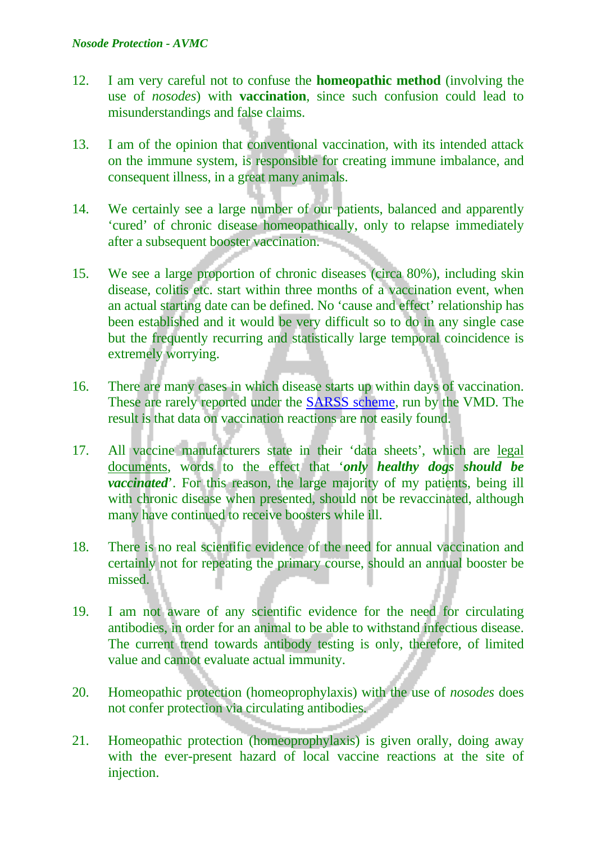- 12. I am very careful not to confuse the **homeopathic method** (involving the use of *nosodes*) with **vaccination**, since such confusion could lead to misunderstandings and false claims.
- 13. I am of the opinion that conventional vaccination, with its intended attack on the immune system, is responsible for creating immune imbalance, and consequent illness, in a great many animals.
- 14. We certainly see a large number of our patients, balanced and apparently 'cured' of chronic disease homeopathically, only to relapse immediately after a subsequent booster vaccination.
- 15. We see a large proportion of chronic diseases (circa 80%), including skin disease, colitis etc. start within three months of a vaccination event, when an actual starting date can be defined. No 'cause and effect' relationship has been established and it would be very difficult so to do in any single case but the frequently recurring and statistically large temporal coincidence is extremely worrying.
- 16. There are many cases in which disease starts up within days of vaccination. These are rarely reported under the [SARSS scheme,](http://www.alternativevet.org/sarss.htm) run by the VMD. The result is that data on vaccination reactions are not easily found.
- 17. All vaccine manufacturers state in their 'data sheets', which are legal documents, words to the effect that '*only healthy dogs should be vaccinated*'. For this reason, the large majority of my patients, being ill with chronic disease when presented, should not be revaccinated, although many have continued to receive boosters while ill.
- 18. There is no real scientific evidence of the need for annual vaccination and certainly not for repeating the primary course, should an annual booster be missed.
- 19. I am not aware of any scientific evidence for the need for circulating antibodies, in order for an animal to be able to withstand infectious disease. The current trend towards antibody testing is only, therefore, of limited value and cannot evaluate actual immunity.
- 20. Homeopathic protection (homeoprophylaxis) with the use of *nosodes* does not confer protection via circulating antibodies.
- 21. Homeopathic protection (homeoprophylaxis) is given orally, doing away with the ever-present hazard of local vaccine reactions at the site of injection.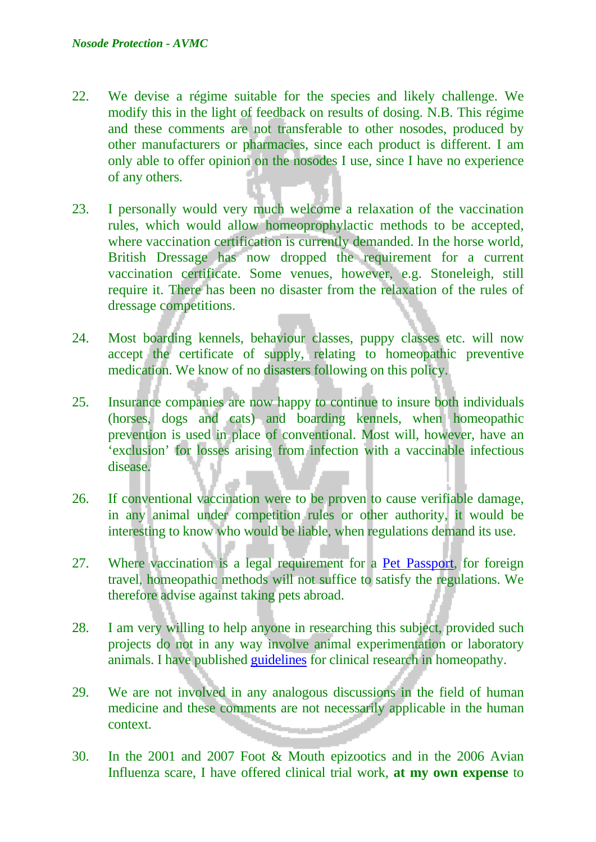- 22. We devise a régime suitable for the species and likely challenge. We modify this in the light of feedback on results of dosing. N.B. This régime and these comments are not transferable to other nosodes, produced by other manufacturers or pharmacies, since each product is different. I am only able to offer opinion on the nosodes I use, since I have no experience of any others.
- 23. I personally would very much welcome a relaxation of the vaccination rules, which would allow homeoprophylactic methods to be accepted, where vaccination certification is currently demanded. In the horse world, British Dressage has now dropped the requirement for a current vaccination certificate. Some venues, however, e.g. Stoneleigh, still require it. There has been no disaster from the relaxation of the rules of dressage competitions.
- 24. Most boarding kennels, behaviour classes, puppy classes etc. will now accept the certificate of supply, relating to homeopathic preventive medication. We know of no disasters following on this policy.
- 25. Insurance companies are now happy to continue to insure both individuals (horses, dogs and cats) and boarding kennels, when homeopathic prevention is used in place of conventional. Most will, however, have an 'exclusion' for losses arising from infection with a vaccinable infectious disease.
- 26. If conventional vaccination were to be proven to cause verifiable damage, in any animal under competition rules or other authority, it would be interesting to know who would be liable, when regulations demand its use.
- 27. Where vaccination is a legal requirement for a [Pet Passport,](http://www.alternativevet.org/pet_passports.htm) for foreign travel, homeopathic methods will not suffice to satisfy the regulations. We therefore advise against taking pets abroad.
- 28. I am very willing to help anyone in researching this subject, provided such projects do not in any way involve animal experimentation or laboratory animals. I have published [guidelines](http://www.alternativevet.org/Research%20Discussion%20Paper%20WS012-07.pdf) for clinical research in homeopathy.
- 29. We are not involved in any analogous discussions in the field of human medicine and these comments are not necessarily applicable in the human context.
- 30. In the 2001 and 2007 Foot & Mouth epizootics and in the 2006 Avian Influenza scare, I have offered clinical trial work, **at my own expense** to